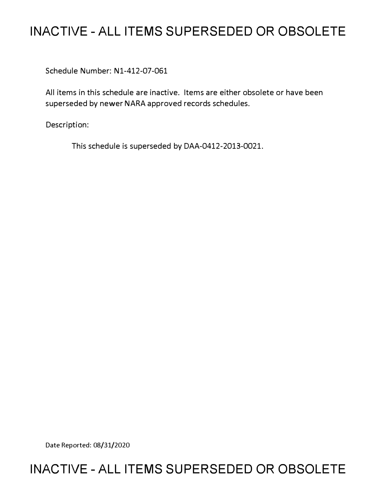# **INACTIVE - ALL ITEMS SUPERSEDED OR OBSOLETE**

Schedule Number: Nl-412-07-061

All items in this schedule are inactive. Items are either obsolete or have been superseded by newer NARA approved records schedules.

Description:

This schedule is superseded by DAA-0412-2013-0021.

Date Reported: 08/31/2020

## **INACTIVE - ALL ITEMS SUPERSEDED OR OBSOLETE**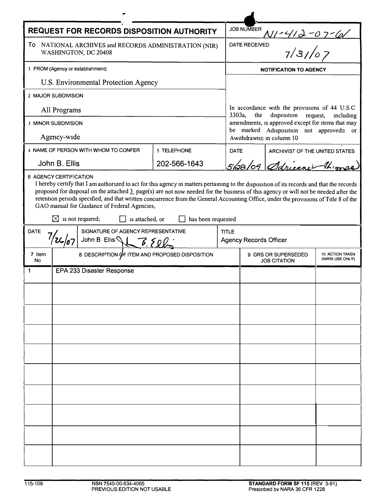| <b>REQUEST FOR RECORDS DISPOSITION AUTHORITY</b>                                 |                                                                                                                                                                                                                                                                                                                     |              |             | <b>JOB NUMBER</b>                                                                                    |                                |  |  |
|----------------------------------------------------------------------------------|---------------------------------------------------------------------------------------------------------------------------------------------------------------------------------------------------------------------------------------------------------------------------------------------------------------------|--------------|-------------|------------------------------------------------------------------------------------------------------|--------------------------------|--|--|
| To<br>NATIONAL ARCHIVES and RECORDS ADMINISTRATION (NIR)<br>WASHINGTON, DC 20408 |                                                                                                                                                                                                                                                                                                                     |              |             | <u>NI-412-07-61</u><br>ED 7/31/07<br><b>DATE RECEIVED</b>                                            |                                |  |  |
| 1 FROM (Agency or establishment)                                                 |                                                                                                                                                                                                                                                                                                                     |              |             | <b>NOTIFICATION TO AGENCY</b>                                                                        |                                |  |  |
| U.S. Environmental Protection Agency                                             |                                                                                                                                                                                                                                                                                                                     |              |             |                                                                                                      |                                |  |  |
| 2 MAJOR SUBDIVISION                                                              |                                                                                                                                                                                                                                                                                                                     |              |             |                                                                                                      |                                |  |  |
| All Programs                                                                     |                                                                                                                                                                                                                                                                                                                     |              |             | In accordance with the provisions of 44 U.S.C.<br>3303a,<br>the<br>disposition request,<br>including |                                |  |  |
| 3 MINOR SUBDIVISION                                                              |                                                                                                                                                                                                                                                                                                                     |              |             | amendments, is approved except for items that may<br>be marked Adisposition not approved≅ or         |                                |  |  |
| Agency-wide                                                                      |                                                                                                                                                                                                                                                                                                                     |              |             | Awithdrawn≅ in column 10                                                                             |                                |  |  |
|                                                                                  | 4 NAME OF PERSON WITH WHOM TO CONFER                                                                                                                                                                                                                                                                                | 5 TELEPHONE  | <b>DATE</b> |                                                                                                      | ARCHIVIST OF THE UNITED STATES |  |  |
| John B. Ellis                                                                    |                                                                                                                                                                                                                                                                                                                     | 202-566-1643 |             |                                                                                                      | 5/08/09 Sdrienner 1/2000       |  |  |
| <b>DATE</b>                                                                      | retention periods specified, and that written concurrence from the General Accounting Office, under the provisions of Title 8 of the<br>GAO manual for Guidance of Federal Agencies,<br>$\boxtimes$ is not required;<br>is attached, or<br>has been requested<br>SIGNATURE OF AGENCY REPRESENTATIVE<br><b>TITLE</b> |              |             |                                                                                                      |                                |  |  |
| John B Ellis \\ 3.500                                                            |                                                                                                                                                                                                                                                                                                                     |              |             | <b>Agency Records Officer</b>                                                                        |                                |  |  |
| 7 Item<br><b>No</b>                                                              | 8 DESCRIPTION OF ITEM AND PROPOSED DISPOSITION                                                                                                                                                                                                                                                                      |              |             | 9 GRS OR SUPERSEDED<br>10 ACTION TAKEN<br>(NARA USE ONLY)<br><b>JOB CITATION</b>                     |                                |  |  |
| 1                                                                                | EPA 233 Disaster Response                                                                                                                                                                                                                                                                                           |              |             |                                                                                                      |                                |  |  |
|                                                                                  |                                                                                                                                                                                                                                                                                                                     |              |             |                                                                                                      |                                |  |  |
|                                                                                  |                                                                                                                                                                                                                                                                                                                     |              |             |                                                                                                      |                                |  |  |
|                                                                                  |                                                                                                                                                                                                                                                                                                                     |              |             |                                                                                                      |                                |  |  |
|                                                                                  |                                                                                                                                                                                                                                                                                                                     |              |             |                                                                                                      |                                |  |  |
|                                                                                  |                                                                                                                                                                                                                                                                                                                     |              |             |                                                                                                      |                                |  |  |
|                                                                                  |                                                                                                                                                                                                                                                                                                                     |              |             |                                                                                                      |                                |  |  |
|                                                                                  |                                                                                                                                                                                                                                                                                                                     |              |             |                                                                                                      |                                |  |  |
|                                                                                  |                                                                                                                                                                                                                                                                                                                     |              |             |                                                                                                      |                                |  |  |
|                                                                                  |                                                                                                                                                                                                                                                                                                                     |              |             |                                                                                                      |                                |  |  |
|                                                                                  |                                                                                                                                                                                                                                                                                                                     |              |             |                                                                                                      |                                |  |  |
|                                                                                  |                                                                                                                                                                                                                                                                                                                     |              |             |                                                                                                      |                                |  |  |
|                                                                                  |                                                                                                                                                                                                                                                                                                                     |              |             |                                                                                                      |                                |  |  |
|                                                                                  |                                                                                                                                                                                                                                                                                                                     |              |             |                                                                                                      |                                |  |  |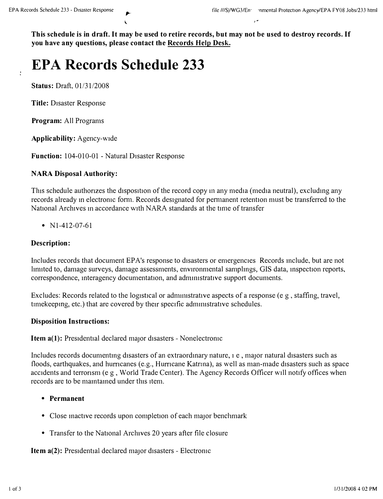**This schedule is in draft. It may be used to retire records, but may not be used to destroy records. If you have any questions, please contact the Records Help Desk.** 

# **EPA Records Schedule 233**

**Status:** Draft, 01/31/2008

**Title:** Disaster Response

**Program:** All Programs

**Applicability:** Agency-wide

**Function:** 104-010-01 - Natural Disaster Response

#### **NARA Disposal Authority:**

This schedule authorizes the disposition of the record copy in any media (media neutral), excluding any records already in electronic form. Records designated for permanent retention must be transferred to the National Archives **111** accordance with NARA standards at the tune of transfer

•  $N1-412-07-61$ 

#### **Description:**

Includes records that document EP A's response to disasters or emergencies Records mclude, but are not limited to, damage surveys, damage assessments, environmental samplings, GIS data, inspection reports, correspondence, interagency documentation, and administrative support documents.

Excludes: Records related to the logistical or administrative aspects of a response (e g, staffing, travel, time keeping, etc.) that are covered by their specific administrative schedules.

#### **Disposition Instructions:**

**Item a(1):** Presidential declared major disasters - Nonelectronic

Includes records documenting disasters of an extraordinary nature, i e, major natural disasters such as floods, earthquakes, and hurricanes (e.g., Hurricane Katrina), as well as man-made disasters such as space accidents and terronsm (e g, World Trade Center). The Agency Records Officer will notify offices when records are to be maintained under this item.

- **Permanent**
- Close mactive records upon completion of each major benchmark
- Transfer to the National Archives 20 years after file closure

**Item a(2):** Presidential declared major disasters - Electronic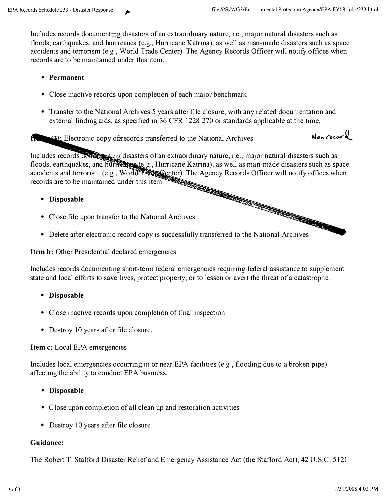Includes records documenting disasters of an extraordinary nature,  $1 e$ , major natural disasters such as floods, earthquakes, and hurricanes (e.g., Hurricane Katrina), as well as man-made disasters such as space **accidents and terronsm** *(***e g , World Trade Center) The Agency Records Officer will notify offices when records are to be mamtamed under this item.** 

#### **• Permanent**

- Close mactive records upon completion of each major benchmark
- Transfer to the National Archives 5 years after file closure, with any related documentation and **external findmg aids, as specified 111 36 CFR 1228** *270* **or standards applicable at the time.**

**11. • (3):** Electromc copy of records transferred to the National Archives *Non record* 

Includes records doese mating disasters of an extraordinary nature, i.e., major natural disasters such as **floods, earthquakes, and huffreenoge (e.g., Hurricane Katrina), as well as man-made disasters such as space accidents and terrorism (e.g., World Halle Center). The Agency Records Officer will notify offices when records a** accidents and terrorism (e g, World Trans enter). The Agency Records Officer will notify offices when **records are to be mamtamed under this item** 

- **Disposable**
- **Close file upon transfer to the National Archives.**
- Delete after electromc record copy is successfully transferred to the National Archives

**Item b: Other Presidential declared emergencies** 

Includes records documenting short-term federal emergencies requiring federal assistance to supplement state and local efforts to save lives, protect property, or to lessen or avert the threat of a catastrophe.

- **Disposable**
- Close inactive records upon completion of final inspection
- **Destroy 10 years after file closure.**

#### **Item c: Local EPA emergencies**

Includes local emergencies occurring in or near EPA facilities (e g, flooding due to a broken pipe) **affectmg the ab1hty to conduct EPA busmess.** 

- **Disposable**
- Close upon completion of all clean up and restoration activities
- **Destroy 10 years after file closure**

#### **Guidance:**

**The Robert T Stafford Disaster Relief and Emergency Assistance Act (the Stafford Act), 42 U.S.C. 5121**